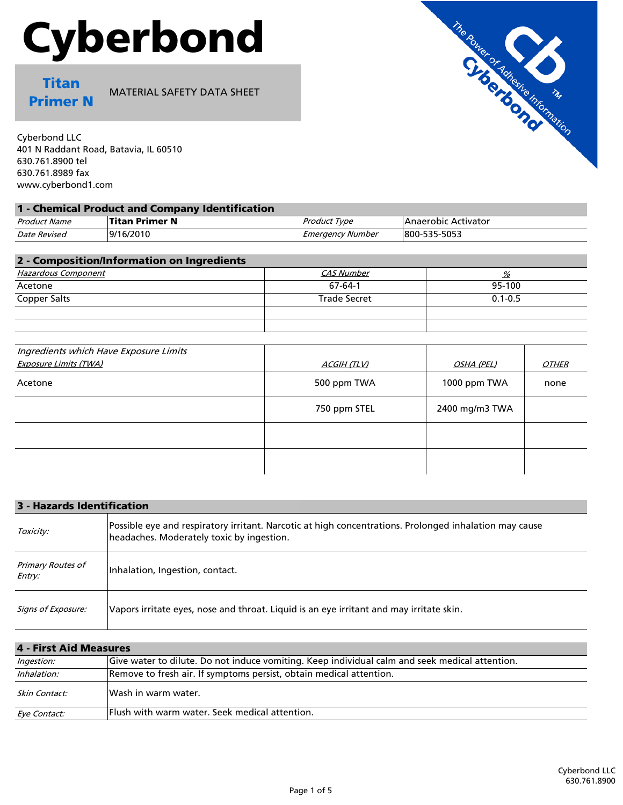# Cyberbond

Titan Primer N

MATERIAL SAFETY DATA SHEET

Cyberbond LLC 401 N Raddant Road, Batavia, IL 60510 630.761.8900 tel 630.761.8989 fax www.cyberbond1.com

| Product Name | <b>Titan Primer N</b> | Product Type            | Anaerobic Activator |  |
|--------------|-----------------------|-------------------------|---------------------|--|
| Date Revised | 9/16/2010             | <b>Emergency Number</b> | 800-535-5053        |  |

| 2 - Composition/Information on Ingredients |                     |             |
|--------------------------------------------|---------------------|-------------|
| Hazardous Component                        | CAS Number          | %           |
| Acetone                                    | 67-64-1             | 95-100      |
| Copper Salts                               | <b>Trade Secret</b> | $0.1 - 0.5$ |
|                                            |                     |             |
|                                            |                     |             |

| Ingredients which Have Exposure Limits |                    |                |                     |
|----------------------------------------|--------------------|----------------|---------------------|
| Exposure Limits (TWA)                  | <b>ACGIH (TLV)</b> | OSHA (PEL)     | <i><b>OTHER</b></i> |
| Acetone                                | 500 ppm TWA        | 1000 ppm TWA   | none                |
|                                        | 750 ppm STEL       | 2400 mg/m3 TWA |                     |
|                                        |                    |                |                     |
|                                        |                    |                |                     |

| 3 - Hazards Identification  |                                                                                                                                                     |  |
|-----------------------------|-----------------------------------------------------------------------------------------------------------------------------------------------------|--|
| Toxicity:                   | Possible eye and respiratory irritant. Narcotic at high concentrations. Prolonged inhalation may cause<br>headaches. Moderately toxic by ingestion. |  |
| Primary Routes of<br>Entry: | Inhalation, Ingestion, contact.                                                                                                                     |  |
| Signs of Exposure:          | Vapors irritate eves, nose and throat. Liquid is an eve irritant and may irritate skin.                                                             |  |

## 4 - First Aid Measures

| <i>Ingestion:</i>   | Give water to dilute. Do not induce vomiting. Keep individual calm and seek medical attention. |  |
|---------------------|------------------------------------------------------------------------------------------------|--|
| Inhalation:         | Remove to fresh air. If symptoms persist, obtain medical attention.                            |  |
| Skin Contact:       | Wash in warm water.                                                                            |  |
| <i>Eve Contact:</i> | <b>Flush with warm water. Seek medical attention.</b>                                          |  |

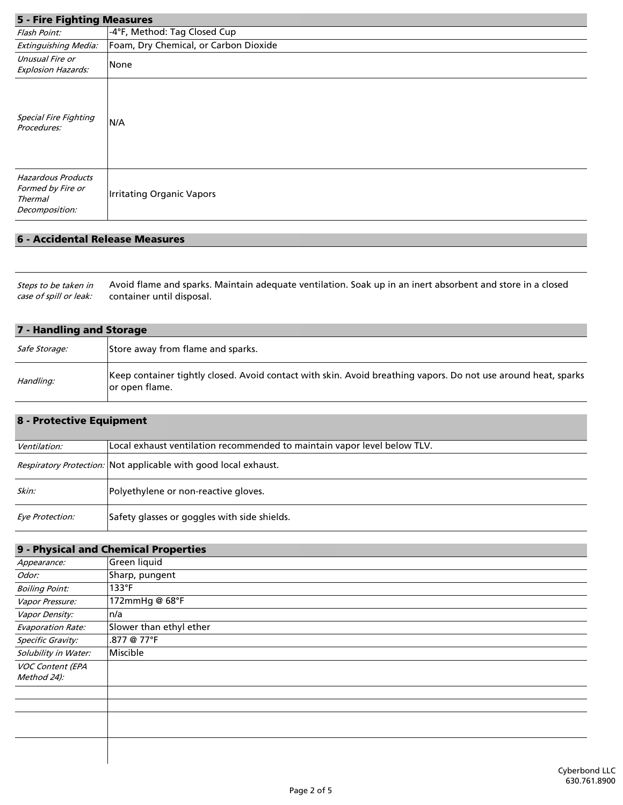#### 5 - Fire Fighting Measures

| 5 - Fire Fighting Measures                                                         |                                       |
|------------------------------------------------------------------------------------|---------------------------------------|
| Flash Point:                                                                       | -4°F, Method: Tag Closed Cup          |
| Extinguishing Media:                                                               | Foam, Dry Chemical, or Carbon Dioxide |
| Unusual Fire or<br><b>Explosion Hazards:</b>                                       | None                                  |
| <b>Special Fire Fighting</b><br>Procedures:                                        | N/A                                   |
| <b>Hazardous Products</b><br>Formed by Fire or<br><b>Thermal</b><br>Decomposition: | <b>Irritating Organic Vapors</b>      |

#### 6 - Accidental Release Measures

Avoid flame and sparks. Maintain adequate ventilation. Soak up in an inert absorbent and store in a closed container until disposal. Steps to be taken in case of spill or leak:

| 7 - Handling and Storage |                                                                                                                                  |
|--------------------------|----------------------------------------------------------------------------------------------------------------------------------|
| <i>Safe Storage:</i>     | Store away from flame and sparks.                                                                                                |
| Handling:                | Keep container tightly closed. Avoid contact with skin. Avoid breathing vapors. Do not use around heat, sparks<br>or open flame. |

## 8 - Protective Equipment

| Ventilation:    | Local exhaust ventilation recommended to maintain vapor level below TLV. |
|-----------------|--------------------------------------------------------------------------|
|                 | <i>Respiratory Protection:</i> Not applicable with good local exhaust.   |
| Skin:           | Polyethylene or non-reactive gloves.                                     |
| Eye Protection: | Safety glasses or goggles with side shields.                             |

|                          | 9 - Physical and Chemical Properties |
|--------------------------|--------------------------------------|
| Appearance:              | Green liquid                         |
| Odor:                    | Sharp, pungent                       |
| <b>Boiling Point:</b>    | $133$ °F                             |
| Vapor Pressure:          | 172mmHg @ 68°F                       |
| Vapor Density:           | n/a                                  |
| <b>Evaporation Rate:</b> | Slower than ethyl ether              |
| Specific Gravity:        | .877 @ 77°F                          |
| Solubility in Water:     | Miscible                             |
| <b>VOC Content (EPA</b>  |                                      |
| Method 24):              |                                      |
|                          |                                      |
|                          |                                      |
|                          |                                      |
|                          |                                      |
|                          |                                      |
|                          |                                      |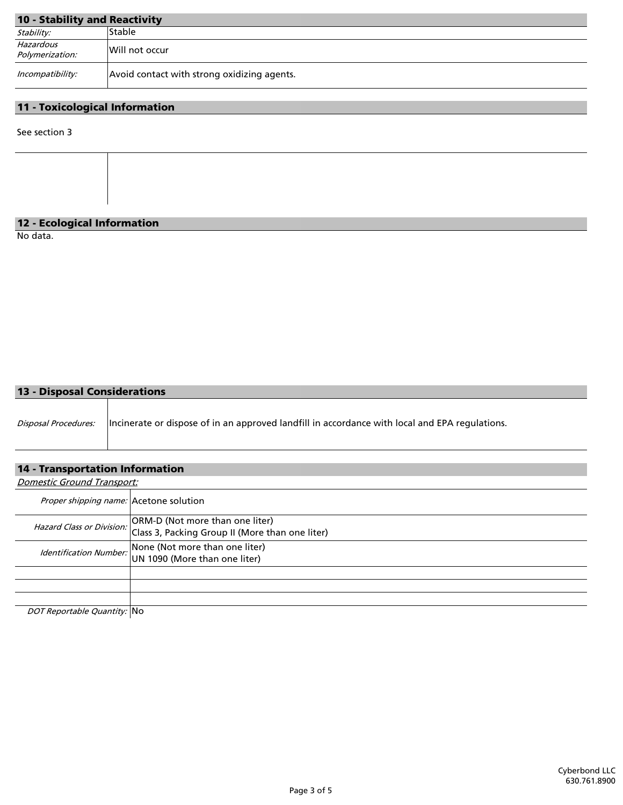# 10 - Stability and Reactivity

| <b>10 - Stability and Reactivity</b> |                                             |
|--------------------------------------|---------------------------------------------|
| Stability:                           | Stable                                      |
| Hazardous<br>Polymerization:         | Will not occur                              |
| Incompatibility:                     | Avoid contact with strong oxidizing agents. |

#### 11 - Toxicological Information

See section 3

#### 12 - Ecological Information

No data.

#### 13 - Disposal Considerations

| Disposal Procedures:  Incinerate or dispose of in an approved landfill in accordance with local and EPA regulations. |
|----------------------------------------------------------------------------------------------------------------------|
|                                                                                                                      |

## 14 - Transportation Information

Domestic Ground Transport: DOT Reportable Quantity: No Hazard Class or Division: None (Not more than one liter) Identification Number: **INONE (NOT MOTE THAN ONE ITER**) Proper shipping name: Acetone solution ORM-D (Not more than one liter) Class 3, Packing Group II (More than one liter)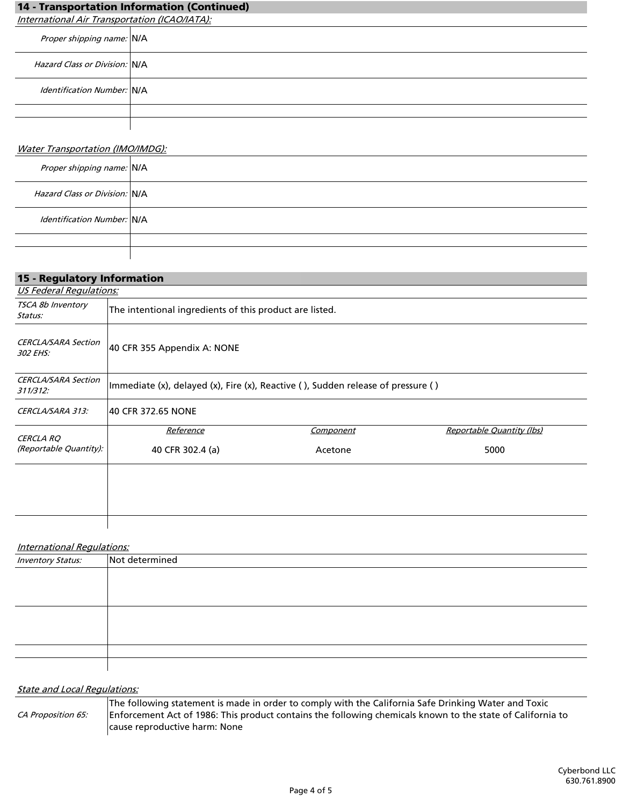| 14 - Transportation Information (Continued)   |  |
|-----------------------------------------------|--|
| International Air Transportation (ICAO/IATA): |  |
| Proper shipping name: N/A                     |  |
| Hazard Class or Division: N/A                 |  |
| <i><b>Identification Number: N/A</b></i>      |  |
|                                               |  |
|                                               |  |
| Water Transportation (IMO/IMDG):              |  |

| Proper shipping name: N/A                |  |
|------------------------------------------|--|
| Hazard Class or Division: N/A            |  |
| <i><b>Identification Number: N/A</b></i> |  |
|                                          |  |
|                                          |  |

| 15 - Regulatory Information            |                                                                                  |                  |                           |  |
|----------------------------------------|----------------------------------------------------------------------------------|------------------|---------------------------|--|
| <b>US Federal Regulations:</b>         |                                                                                  |                  |                           |  |
| TSCA 8b Inventory<br>Status:           | The intentional ingredients of this product are listed.                          |                  |                           |  |
| <b>CERCLA/SARA Section</b><br>302 EHS: | 40 CFR 355 Appendix A: NONE                                                      |                  |                           |  |
| <b>CERCLA/SARA Section</b><br>311/312: | Immediate (x), delayed (x), Fire (x), Reactive (), Sudden release of pressure () |                  |                           |  |
| CERCLA/SARA 313:                       | 40 CFR 372.65 NONE                                                               |                  |                           |  |
| CERCLA RQ                              | Reference                                                                        | <b>Component</b> | Reportable Quantity (lbs) |  |
| (Reportable Quantity):                 | 40 CFR 302.4 (a)                                                                 | Acetone          | 5000                      |  |
|                                        |                                                                                  |                  |                           |  |
|                                        |                                                                                  |                  |                           |  |

#### International Regulations:

| <b>Inventory Status:</b> | Not determined |
|--------------------------|----------------|
|                          |                |
|                          |                |
|                          |                |
|                          |                |
|                          |                |
|                          |                |
|                          |                |
|                          |                |

# **State and Local Regulations:**

|                    | The following statement is made in order to comply with the California Safe Drinking Water and Toxic       |
|--------------------|------------------------------------------------------------------------------------------------------------|
| CA Proposition 65: | Enforcement Act of 1986: This product contains the following chemicals known to the state of California to |
|                    | cause reproductive harm: None                                                                              |